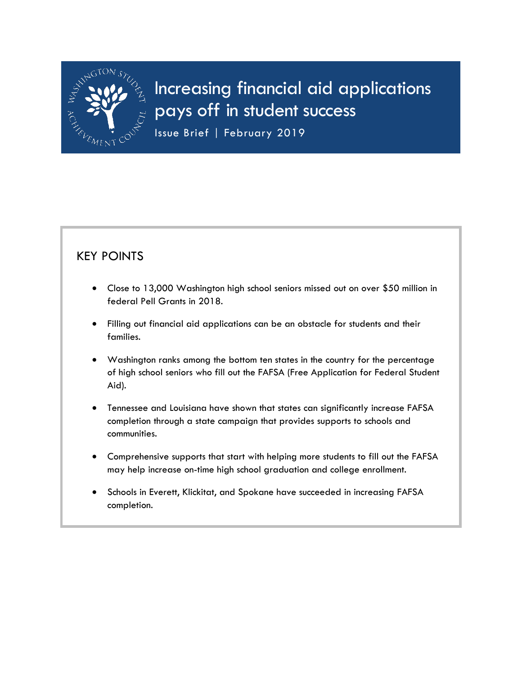

# Increasing financial aid applications pays off in student success

Issue Brief | February 2019

## KEY POINTS

- Close to 13,000 Washington high school seniors missed out on over \$50 million in federal Pell Grants in 2018.
- Filling out financial aid applications can be an obstacle for students and their families.
- Washington ranks among the bottom ten states in the country for the percentage of high school seniors who fill out the FAFSA (Free Application for Federal Student Aid).
- Tennessee and Louisiana have shown that states can significantly increase FAFSA completion through a state campaign that provides supports to schools and communities.
- Comprehensive supports that start with helping more students to fill out the FAFSA may help increase on-time high school graduation and college enrollment.
- Schools in Everett, Klickitat, and Spokane have succeeded in increasing FAFSA completion.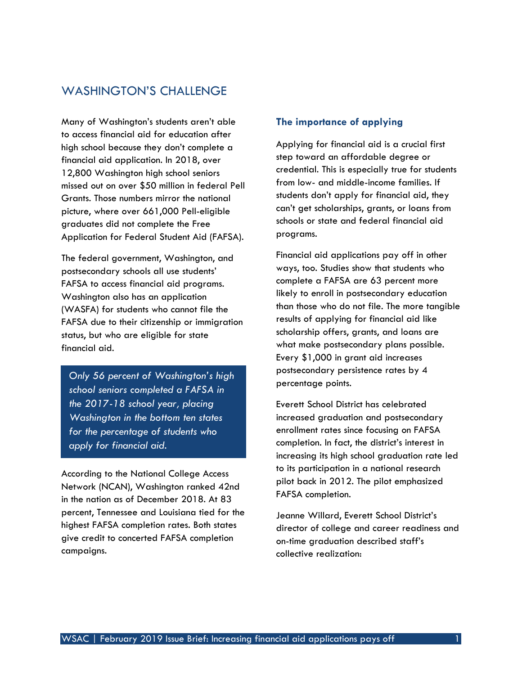## WASHINGTON'S CHALLENGE

Many of Washington's students aren't able to access financial aid for education after high school because they don't complete a financial aid application. In 2018, over 12,800 Washington high school seniors missed out on over \$50 million in federal Pell Grants. Those numbers mirror the national picture, where over 661,000 Pell-eligible graduates did not complete the Free Application for Federal Student Aid (FAFSA).

The federal government, Washington, and postsecondary schools all use students' FAFSA to access financial aid programs. Washington also has an application (WASFA) for students who cannot file the FAFSA due to their citizenship or immigration status, but who are eligible for state financial aid.

*Only 56 percent of Washington's high school seniors completed a FAFSA in the 2017-18 school year, placing Washington in the bottom ten states for the percentage of students who apply for financial aid.* 

According to the National College Access Network (NCAN), Washington ranked 42nd in the nation as of December 2018. At 83 percent, Tennessee and Louisiana tied for the highest FAFSA completion rates. Both states give credit to concerted FAFSA completion campaigns.

#### **The importance of applying**

Applying for financial aid is a crucial first step toward an affordable degree or credential. This is especially true for students from low- and middle-income families. If students don't apply for financial aid, they can't get scholarships, grants, or loans from schools or state and federal financial aid programs.

Financial aid applications pay off in other ways, too. Studies show that students who complete a FAFSA are 63 percent more likely to enroll in postsecondary education than those who do not file. The more tangible results of applying for financial aid like scholarship offers, grants, and loans are what make postsecondary plans possible. Every \$1,000 in grant aid increases postsecondary persistence rates by 4 percentage points.

Everett School District has celebrated increased graduation and postsecondary enrollment rates since focusing on FAFSA completion. In fact, the district's interest in increasing its high school graduation rate led to its participation in a national research pilot back in 2012. The pilot emphasized FAFSA completion.

Jeanne Willard, Everett School District's director of college and career readiness and on-time graduation described staff's collective realization: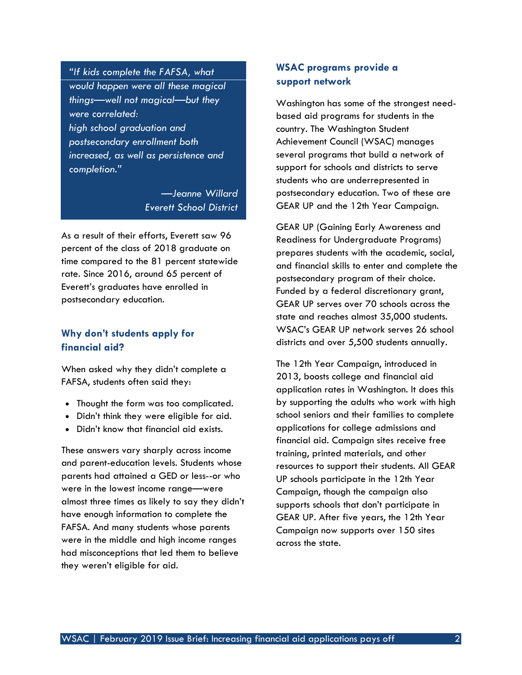*"If kids complete the FAFSA, what would happen were all these magical things—well not magical—but they were correlated: high school graduation and postsecondary enrollment both increased, as well as persistence and completion."*

> *—Jeanne Willard Everett School District*

As a result of their efforts, Everett saw 96 percent of the class of 2018 graduate on time compared to the 81 percent statewide rate. Since 2016, around 65 percent of Everett's graduates have enrolled in postsecondary education.

#### **Why don't students apply for financial aid?**

When asked why they didn't complete a FAFSA, students often said they:

- Thought the form was too complicated.
- Didn't think they were eligible for aid.
- Didn't know that financial aid exists.

These answers vary sharply across income and parent-education levels. Students whose parents had attained a GED or less--or who were in the lowest income range—were almost three times as likely to say they didn't have enough information to complete the FAFSA. And many students whose parents were in the middle and high income ranges had misconceptions that led them to believe they weren't eligible for aid.

#### **WSAC programs provide a support network**

Washington has some of the strongest needbased aid programs for students in the country. The Washington Student Achievement Council (WSAC) manages several programs that build a network of support for schools and districts to serve students who are underrepresented in postsecondary education. Two of these are GEAR UP and the 12th Year Campaign.

GEAR UP (Gaining Early Awareness and Readiness for Undergraduate Programs) prepares students with the academic, social, and financial skills to enter and complete the postsecondary program of their choice. Funded by a federal discretionary grant, GEAR UP serves over 70 schools across the state and reaches almost 35,000 students. WSAC's GEAR UP network serves 26 school districts and over 5,500 students annually.

The 12th Year Campaign, introduced in 2013, boosts college and financial aid application rates in Washington. It does this by supporting the adults who work with high school seniors and their families to complete applications for college admissions and financial aid. Campaign sites receive free training, printed materials, and other resources to support their students. All GEAR UP schools participate in the 12th Year Campaign, though the campaign also supports schools that don't participate in GEAR UP. After five years, the 12th Year Campaign now supports over 150 sites across the state.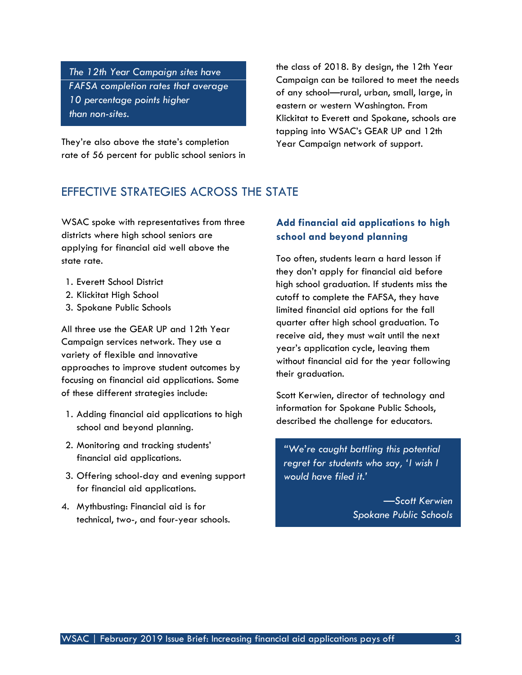*The 12th Year Campaign sites have FAFSA completion rates that average 10 percentage points higher than non-sites.*

They're also above the state's completion rate of 56 percent for public school seniors in the class of 2018. By design, the 12th Year Campaign can be tailored to meet the needs of any school—rural, urban, small, large, in eastern or western Washington. From Klickitat to Everett and Spokane, schools are tapping into WSAC's GEAR UP and 12th Year Campaign network of support.

## EFFECTIVE STRATEGIES ACROSS THE STATE

WSAC spoke with representatives from three districts where high school seniors are applying for financial aid well above the state rate.

- 1. Everett School District
- 2. Klickitat High School
- 3. Spokane Public Schools

All three use the GEAR UP and 12th Year Campaign services network. They use a variety of flexible and innovative approaches to improve student outcomes by focusing on financial aid applications. Some of these different strategies include:

- 1. Adding financial aid applications to high school and beyond planning.
- 2. Monitoring and tracking students' financial aid applications.
- 3. Offering school-day and evening support for financial aid applications.
- 4. Mythbusting: Financial aid is for technical, two-, and four-year schools.

#### **Add financial aid applications to high school and beyond planning**

Too often, students learn a hard lesson if they don't apply for financial aid before high school graduation. If students miss the cutoff to complete the FAFSA, they have limited financial aid options for the fall quarter after high school graduation. To receive aid, they must wait until the next year's application cycle, leaving them without financial aid for the year following their graduation.

Scott Kerwien, director of technology and information for Spokane Public Schools, described the challenge for educators.

*"We're caught battling this potential regret for students who say, 'I wish I would have filed it.'* 

> *—Scott Kerwien Spokane Public Schools*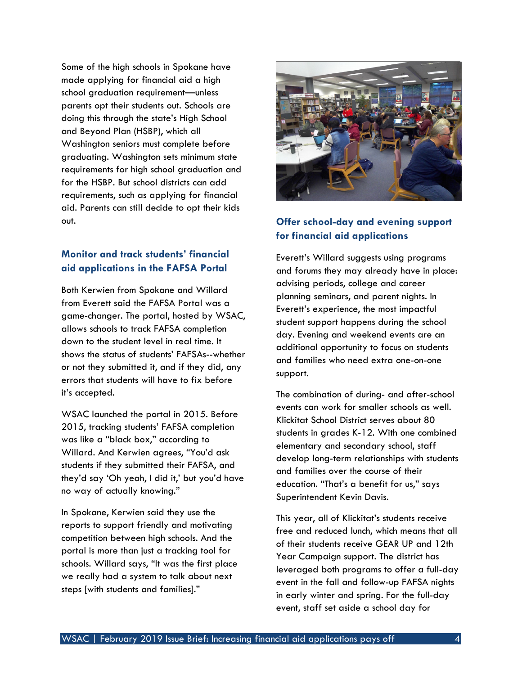Some of the high schools in Spokane have made applying for financial aid a high school graduation requirement—unless parents opt their students out. Schools are doing this through the state's High School and Beyond Plan (HSBP), which all Washington seniors must complete before graduating. Washington sets minimum state requirements for high school graduation and for the HSBP. But school districts can add requirements, such as applying for financial aid. Parents can still decide to opt their kids out.

#### **Monitor and track students' financial aid applications in the FAFSA Portal**

Both Kerwien from Spokane and Willard from Everett said the FAFSA Portal was a game-changer. The portal, hosted by WSAC, allows schools to track FAFSA completion down to the student level in real time. It shows the status of students' FAFSAs--whether or not they submitted it, and if they did, any errors that students will have to fix before it's accepted.

WSAC launched the portal in 2015. Before 2015, tracking students' FAFSA completion was like a "black box," according to Willard. And Kerwien agrees, "You'd ask students if they submitted their FAFSA, and they'd say 'Oh yeah, I did it,' but you'd have no way of actually knowing."

In Spokane, Kerwien said they use the reports to support friendly and motivating competition between high schools. And the portal is more than just a tracking tool for schools. Willard says, "It was the first place we really had a system to talk about next steps [with students and families]."



## **Offer school-day and evening support for financial aid applications**

Everett's Willard suggests using programs and forums they may already have in place: advising periods, college and career planning seminars, and parent nights. In Everett's experience, the most impactful student support happens during the school day. Evening and weekend events are an additional opportunity to focus on students and families who need extra one-on-one support.

The combination of during- and after-school events can work for smaller schools as well. Klickitat School District serves about 80 students in grades K-12. With one combined elementary and secondary school, staff develop long-term relationships with students and families over the course of their education. "That's a benefit for us," says Superintendent Kevin Davis.

This year, all of Klickitat's students receive free and reduced lunch, which means that all of their students receive GEAR UP and 12th Year Campaign support. The district has leveraged both programs to offer a full-day event in the fall and follow-up FAFSA nights in early winter and spring. For the full-day event, staff set aside a school day for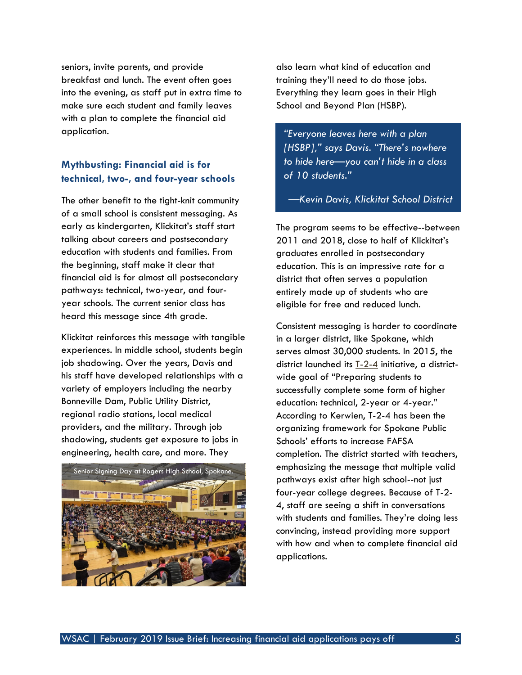seniors, invite parents, and provide breakfast and lunch. The event often goes into the evening, as staff put in extra time to make sure each student and family leaves with a plan to complete the financial aid application.

## **Mythbusting: Financial aid is for technical, two-, and four-year schools**

The other benefit to the tight-knit community of a small school is consistent messaging. As early as kindergarten, Klickitat's staff start talking about careers and postsecondary education with students and families. From the beginning, staff make it clear that financial aid is for almost all postsecondary pathways: technical, two-year, and fouryear schools. The current senior class has heard this message since 4th grade.

Klickitat reinforces this message with tangible experiences. In middle school, students begin job shadowing. Over the years, Davis and his staff have developed relationships with a variety of employers including the nearby Bonneville Dam, Public Utility District, regional radio stations, local medical providers, and the military. Through job shadowing, students get exposure to jobs in engineering, health care, and more. They



also learn what kind of education and training they'll need to do those jobs. Everything they learn goes in their High School and Beyond Plan (HSBP).

*"Everyone leaves here with a plan [HSBP]," says Davis. "There's nowhere to hide here—you can't hide in a class of 10 students."* 

*—Kevin Davis, Klickitat School District*

The program seems to be effective--between 2011 and 2018, close to half of Klickitat's graduates enrolled in postsecondary education. This is an impressive rate for a district that often serves a population entirely made up of students who are eligible for free and reduced lunch.

Consistent messaging is harder to coordinate in a larger district, like Spokane, which serves almost 30,000 students. In 2015, the district launched its  $\underline{T-2-4}$  initiative, a districtwide goal of "Preparing students to successfully complete some form of higher education: technical, 2-year or 4-year." According to Kerwien, T-2-4 has been the organizing framework for Spokane Public Schools' efforts to increase FAFSA completion. The district started with teachers, emphasizing the message that multiple valid pathways exist after high school--not just four-year college degrees. Because of T-2- 4, staff are seeing a shift in conversations with students and families. They're doing less convincing, instead providing more support with how and when to complete financial aid applications.